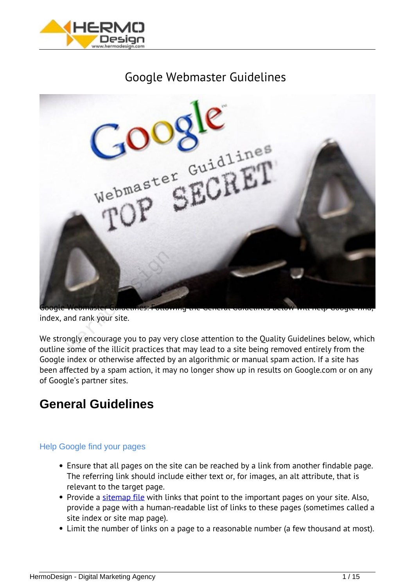

# *Google Webmaster Guidelines*



*index, and rank your site.*

*We strongly encourage you to pay very close attention to the Quality Guidelines below, which outline some of the illicit practices that may lead to a site being removed entirely from the Google index or otherwise affected by an algorithmic or manual spam action. If a site has been affected by a spam action, it may no longer show up in results on Google.com or on any of Google's partner sites.*

# **General Guidelines**

# Help Google find your pages

- *Ensure that all pages on the site can be reached by a link from another findable page. The referring link should include either text or, for images, an alt attribute, that is relevant to the target page.*
- *Provide a [sitemap file](http://sitemaps.org/) with links that point to the important pages on your site. Also, provide a page with a human-readable list of links to these pages (sometimes called a site index or site map page).*
- *Limit the number of links on a page to a reasonable number (a few thousand at most).*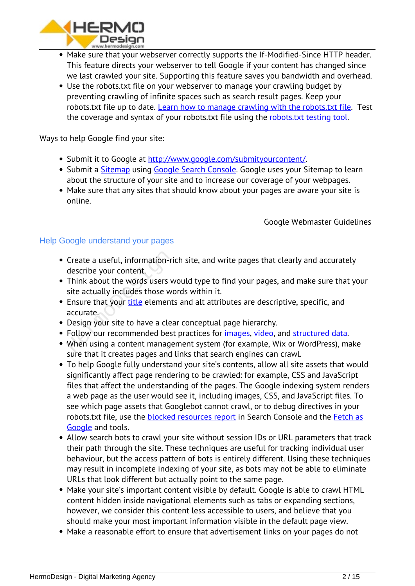

- *Make sure that your webserver correctly supports the If-Modified-Since HTTP header. This feature directs your webserver to tell Google if your content has changed since we last crawled your site. Supporting this feature saves you bandwidth and overhead.*
- *Use the robots.txt file on your webserver to manage your crawling budget by preventing crawling of infinite spaces such as search result pages. Keep your robots.txt file up to date. [Learn how to manage crawling with the robots.txt file.](https://developers.google.com/webmasters/control-crawl-index/docs/faq) Test the coverage and syntax of your robots.txt file using the [robots.txt testing tool.](https://www.google.com/webmasters/tools/robots-testing-tool)*

*Ways to help Google find your site:*

- *Submit it to Google at [http://www.google.com/submityourcontent/.](http://www.google.com/submityourcontent/)*
- *Submit a [Sitemap](https://support.google.com/webmasters/answer/156184) using [Google Search Console.](http://www.google.com/webmasters/tools/) Google uses your Sitemap to learn about the structure of your site and to increase our coverage of your webpages.*
- *Make sure that any sites that should know about your pages are aware your site is online.*

*Google Webmaster Guidelines*

# Help Google understand your pages

- *Create a useful, information-rich site, and write pages that clearly and accurately describe your content.* Cr[e](https://hermodesign.com/the-beginners-guide-title-tags-and-meta-descriptions/)ate a useful, information-ri<br>describe your content.<br>Think about the words users w<br>site actually includes those wo<br>Ensure that your <u>title</u> element:<br>accurate.<br>Design your site to have a clear<br>Follow our recommended best<br>
- *Think about the words users would type to find your pages, and make sure that your site actually includes those words within it.*
- *Ensure that your title elements and alt attributes are descriptive, specific, and accurate.*
- *Design your site to have a clear conceptual page hierarchy.*
- *Follow our recommended best practices for [images,](https://support.google.com/webmasters/answer/114016) [video](https://support.google.com/webmasters/answer/156442), and [structured data](https://developers.google.com/structured-data/).*
- *When using a content management system (for example, Wix or WordPress), make sure that it creates pages and links that search engines can crawl.*
- *To help Google fully understand your site's contents, allow all site assets that would significantly affect page rendering to be crawled: for example, CSS and JavaScript files that affect the understanding of the pages. The Google indexing system renders a web page as the user would see it, including images, CSS, and JavaScript files. To see which page assets that Googlebot cannot crawl, or to debug directives in your robots.txt file, use the [blocked resources report](https://www.google.com/webmasters/tools/roboted) in Search Console and the [Fetch as](https://support.google.com/webmasters/answer/6066467) [Google](https://support.google.com/webmasters/answer/6066467) and tools.*
- *Allow search bots to crawl your site without session IDs or URL parameters that track their path through the site. These techniques are useful for tracking individual user behaviour, but the access pattern of bots is entirely different. Using these techniques may result in incomplete indexing of your site, as bots may not be able to eliminate URLs that look different but actually point to the same page.*
- *Make your site's important content visible by default. Google is able to crawl HTML content hidden inside navigational elements such as tabs or expanding sections, however, we consider this content less accessible to users, and believe that you should make your most important information visible in the default page view.*
- *Make a reasonable effort to ensure that advertisement links on your pages do not*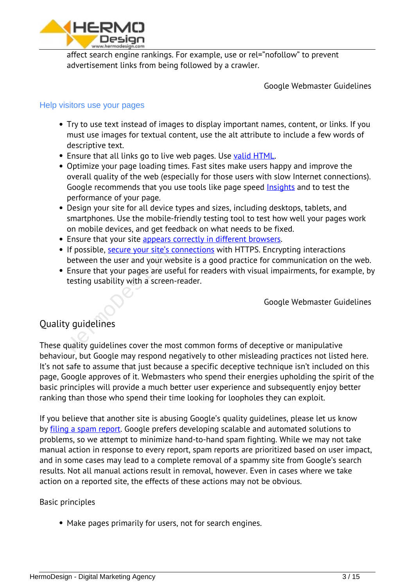

*affect search engine rankings. For example, use or rel="nofollow" to prevent advertisement links from being followed by a crawler.*

*Google Webmaster Guidelines*

### Help visitors use your pages

- *Try to use text instead of images to display important names, content, or links. If you must use images for textual content, use the alt attribute to include a few words of descriptive text.*
- *Ensure that all links go to live web pages. Use [valid HTML.](https://validator.w3.org/)*
- *Optimize your page loading times. Fast sites make users happy and improve the overall quality of the web (especially for those users with slow Internet connections). Google recommends that you use tools like page speed [Insights](https://developers.google.com/speed/pagespeed/insights/) and to test the performance of your page.*
- *Design your site for all device types and sizes, including desktops, tablets, and smartphones. Use the mobile-friendly testing tool to test how well your pages work on mobile devices, and get feedback on what needs to be fixed.*
- *Ensure that your site [appears correctly in different browsers.](https://support.google.com/webmasters/answer/100782)*
- *If possible, [secure your site's connections](https://support.google.com/webmasters/answer/6073543) with HTTPS. Encrypting interactions between the user and your website is a good practice for communication on the web.*
- *Ensure that your pages are useful for readers with visual impairments, for example, by testing usability with a screen-reader.* In possible, **Secure your site s-c**<br>between the user and your we<br>Ensure that your pages are use<br>testing usability with a screen-<br>y guidelines

*Google Webmaster Guidelines*

# *Quality guidelines*

*These quality guidelines cover the most common forms of deceptive or manipulative behaviour, but Google may respond negatively to other misleading practices not listed here. It's not safe to assume that just because a specific deceptive technique isn't included on this page, Google approves of it. Webmasters who spend their energies upholding the spirit of the basic principles will provide a much better user experience and subsequently enjoy better ranking than those who spend their time looking for loopholes they can exploit.*

*If you believe that another site is abusing Google's quality guidelines, please let us know by [filing a spam report.](https://www.google.com/webmasters/tools/spamreport) Google prefers developing scalable and automated solutions to problems, so we attempt to minimize hand-to-hand spam fighting. While we may not take manual action in response to every report, spam reports are prioritized based on user impact, and in some cases may lead to a complete removal of a spammy site from Google's search results. Not all manual actions result in removal, however. Even in cases where we take action on a reported site, the effects of these actions may not be obvious.*

#### *Basic principles*

*Make pages primarily for users, not for search engines.*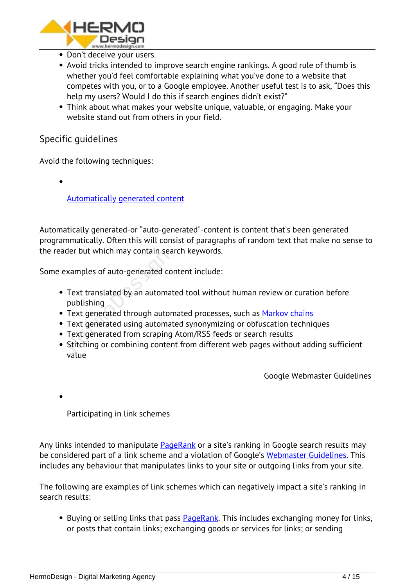

- *Don't deceive your users.*
- *Avoid tricks intended to improve search engine rankings. A good rule of thumb is whether you'd feel comfortable explaining what you've done to a website that competes with you, or to a Google employee. Another useful test is to ask, "Does this help my users? Would I do this if search engines didn't exist?"*
- *Think about what makes your website unique, valuable, or engaging. Make your website stand out from others in your field.*

# *Specific guidelines*

*Avoid the following techniques:*

*[Automatically generated content](https://support.google.com/webmasters/answer/2721306)*

*Automatically generated-or "auto-generated"-content is content that's been generated programmatically. Often this will consist of paragraphs of random text that make no sense to the reader but which may contain search keywords.*

*Some examples of auto-generated content include:*

- *Text translated by an automated tool without human review or curation before publishing* Meridian Meridian Search<br>
Stamples of auto-generated corn<br>
Text translated by an automat<br>
publishing<br>
Text generated through autom<br>
Text generated using automat<br>
Text generated from scraping<br>
Stitching or combining conten
- *Text generated through automated processes, such as [Markov chains](https://www.google.com/search?q=markov+chain)*
- *Text generated using automated synonymizing or obfuscation techniques*
- *Text generated from scraping Atom/RSS feeds or search results*
- *Stitching or combining content from different web pages without adding sufficient value*

*Google Webmaster Guidelines*

*Participating in [link schemes](https://support.google.com/webmasters/answer/66356)*

*Any links intended to manipulate [PageRank](http://en.wikipedia.org/wiki/PageRank) or a site's ranking in Google search results may be considered part of a link scheme and a violation of Google's [Webmaster Guidelines](https://support.google.com/webmasters/answer/35769). This includes any behaviour that manipulates links to your site or outgoing links from your site.*

*The following are examples of link schemes which can negatively impact a site's ranking in search results:*

*Buying or selling links that pass [PageRank](http://en.wikipedia.org/wiki/PageRank). This includes exchanging money for links, or posts that contain links; exchanging goods or services for links; or sending*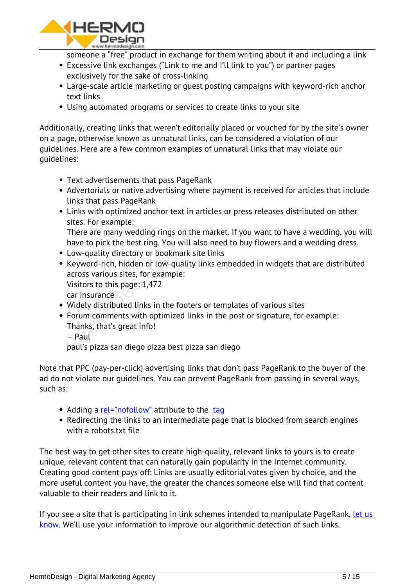

*someone a "free" product in exchange for them writing about it and including a link*

- *Excessive link exchanges ("Link to me and I'll link to you") or partner pages exclusively for the sake of cross-linking*
- *Large-scale article marketing or guest posting campaigns with keyword-rich anchor text links*
- *Using automated programs or services to create links to your site*

*Additionally, creating links that weren't editorially placed or vouched for by the site's owner on a page, otherwise known as unnatural links, can be considered a violation of our guidelines. Here are a few common examples of unnatural links that may violate our guidelines:*

- *Text advertisements that pass PageRank*
- *Advertorials or native advertising where payment is received for articles that include links that pass PageRank*
- *Links with optimized anchor text in articles or press releases distributed on other sites. For example:*

*There are many wedding rings on the market. If you want to have a wedding, you will have to pick the best ring. You will also need to buy flowers and a wedding dress.*

- *Low-quality directory or bookmark site links*
- *Keyword-rich, hidden or low-quality links embedded in widgets that are distributed across various sites, for example: Visitors to this page: 1,472* Low-quality directory or bookr<br>Keyword-rich, hidden or low-q<br>across various sites, for examp<br>Visitors to this page: 1,472<br>car insurance<br>Widely distributed links in the<br>Forum comments with optimiz<br>Thanks, that's great info!

*car insurance*

- *Widely distributed links in the footers or templates of various sites*
- *Forum comments with optimized links in the post or signature, for example: Thanks, that's great info!*

*– Paul*

*paul's pizza san diego pizza best pizza san diego*

*Note that PPC (pay-per-click) advertising links that don't pass PageRank to the buyer of the ad do not violate our guidelines. You can prevent PageRank from passing in several ways, such as:*

- Adding a <u>rel="nofollow"</u> attribute to the tag
- *Redirecting the links to an intermediate page that is blocked from search engines with a robots.txt file*

*The best way to get other sites to create high-quality, relevant links to yours is to create unique, relevant content that can naturally gain popularity in the Internet community. Creating good content pays off: Links are usually editorial votes given by choice, and the more useful content you have, the greater the chances someone else will find that content valuable to their readers and link to it.*

*If you see a site that is participating in link schemes intended to manipulate PageRank, [let us](https://www.google.com/webmasters/tools/paidlinks) [know](https://www.google.com/webmasters/tools/paidlinks). We'll use your information to improve our algorithmic detection of such links.*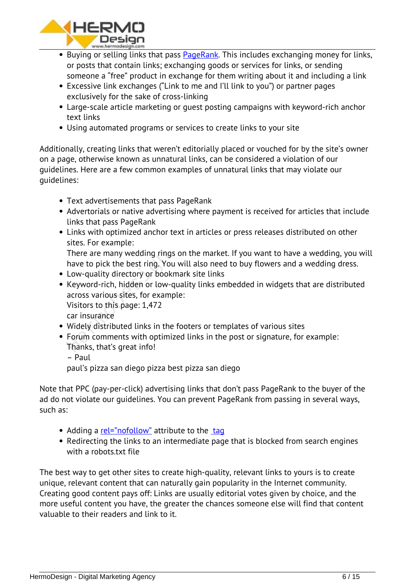

- *Buying or selling links that pass [PageRank](http://en.wikipedia.org/wiki/PageRank). This includes exchanging money for links, or posts that contain links; exchanging goods or services for links, or sending someone a "free" product in exchange for them writing about it and including a link*
- *Excessive link exchanges ("Link to me and I'll link to you") or partner pages exclusively for the sake of cross-linking*
- *Large-scale article marketing or guest posting campaigns with keyword-rich anchor text links*
- *Using automated programs or services to create links to your site*

*Additionally, creating links that weren't editorially placed or vouched for by the site's owner on a page, otherwise known as unnatural links, can be considered a violation of our guidelines. Here are a few common examples of unnatural links that may violate our guidelines:*

- *Text advertisements that pass PageRank*
- *Advertorials or native advertising where payment is received for articles that include links that pass PageRank*
- *Links with optimized anchor text in articles or press releases distributed on other sites. For example:*

*There are many wedding rings on the market. If you want to have a wedding, you will have to pick the best ring. You will also need to buy flowers and a wedding dress.*

- *Low-quality directory or bookmark site links*
- *Keyword-rich, hidden or low-quality links embedded in widgets that are distributed across various sites, for example:* There are many wedding rings<br>have to pick the best ring. You<br>Low-quality directory or bookr<br>Keyword-rich, hidden or low-q<br>across various sites, for examp<br>Visitors to this page: 1,472<br>car insurance<br>Widely distributed links

*Visitors to this page: 1,472*

*car insurance*

- *Widely distributed links in the footers or templates of various sites*
- *Forum comments with optimized links in the post or signature, for example: Thanks, that's great info!*
	- *Paul*

*paul's pizza san diego pizza best pizza san diego*

*Note that PPC (pay-per-click) advertising links that don't pass PageRank to the buyer of the ad do not violate our guidelines. You can prevent PageRank from passing in several ways, such as:*

- *Adding a [rel="nofollow"](https://support.google.com/webmasters/answer/96569) attribute to the tag*
- *Redirecting the links to an intermediate page that is blocked from search engines with a robots.txt file*

*The best way to get other sites to create high-quality, relevant links to yours is to create unique, relevant content that can naturally gain popularity in the Internet community. Creating good content pays off: Links are usually editorial votes given by choice, and the more useful content you have, the greater the chances someone else will find that content valuable to their readers and link to it.*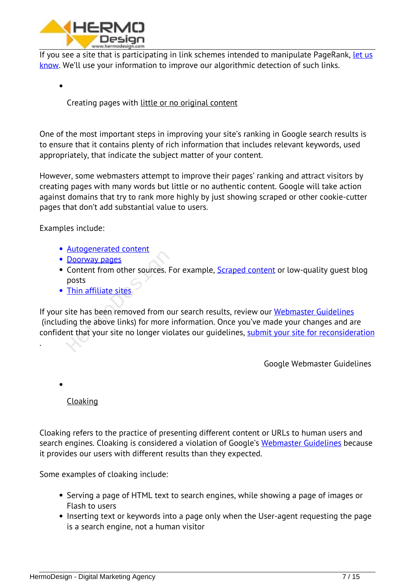

*If you see a site that is participating in link schemes intended to manipulate PageRank, [let us](https://www.google.com/webmasters/tools/paidlinks) [know](https://www.google.com/webmasters/tools/paidlinks). We'll use your information to improve our algorithmic detection of such links.*

*Creating pages with [little or no original content](https://support.google.com/webmasters/answer/66361)*

*One of the most important steps in improving your site's ranking in Google search results is to ensure that it contains plenty of rich information that includes relevant keywords, used appropriately, that indicate the subject matter of your content.*

*However, some webmasters attempt to improve their pages' ranking and attract visitors by creating pages with many words but little or no authentic content. Google will take action against domains that try to rank more highly by just showing scraped or other cookie-cutter pages that don't add substantial value to users.*

*Examples include:*

- *[Autogenerated content](https://support.google.com/webmasters/answer/2721306)*
- *Doorway pages*
- *Content from other sources. For example, [Scraped content](https://support.google.com/webmasters/answer/2721312) or low-quality guest blog posts*
- *Thin affiliate sites*

*If your site has been removed from our search results, review our [Webmaster Guidelines](https://support.google.com/webmasters/answer/35769) (including the above links) for more information. Once you've made your changes and are confident that your site no longer violates our guidelines, [submit your site for reconsideration](https://support.google.com/webmasters/answer/35843)* **Doorway pages**<br>
Content from other sources. For<br>
posts<br>
Thin affiliate sites<br>
site has been removed from ou<br>
ing the above links) for more in<br>
int that your site no longer viol

*Google Webmaster Guidelines*

# *[Cloaking](https://support.google.com/webmasters/answer/66355)*

*.*

*Cloaking refers to the practice of presenting different content or URLs to human users and search engines. Cloaking is considered a violation of Google's [Webmaster Guidelines](https://support.google.com/webmasters/answer/answer.py?answer=35769) because it provides our users with different results than they expected.*

*Some examples of cloaking include:*

- *Serving a page of HTML text to search engines, while showing a page of images or Flash to users*
- *Inserting text or keywords into a page only when the User-agent requesting the page is a search engine, not a human visitor*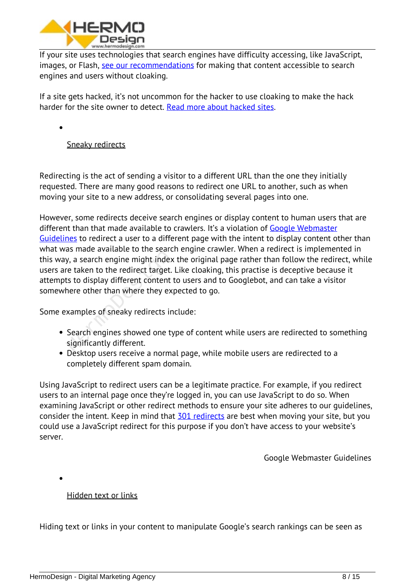

*If your site uses technologies that search engines have difficulty accessing, like JavaScript, images, or Flash, [see our recommendations](https://support.google.com/webmasters/answer/answer.py?answer=66353) for making that content accessible to search engines and users without cloaking.*

*If a site gets hacked, it's not uncommon for the hacker to use cloaking to make the hack harder for the site owner to detect. [Read more about hacked sites](https://support.google.com/webmasters/answer/answer.py?answer=2721435).*

*[Sneaky redirects](https://support.google.com/webmasters/answer/2721217)*

*Redirecting is the act of sending a visitor to a different URL than the one they initially requested. There are many good reasons to redirect one URL to another, such as when moving your site to a new address, or consolidating several pages into one.*

*However, some redirects deceive search engines or display content to human users that are different than that made available to crawlers. It's a violation of [Google Webmaster](https://support.google.com/webmasters/answer/35769) [Guidelines](https://support.google.com/webmasters/answer/35769) to redirect a user to a different page with the intent to display content other than what was made available to the search engine crawler. When a redirect is implemented in this way, a search engine might index the original page rather than follow the redirect, while users are taken to the redirect target. Like cloaking, this practise is deceptive because it attempts to display different content to users and to Googlebot, and can take a visitor somewhere other than where they expected to go.* by, a search engine might index<br>re taken to the redirect target.<br>Its to display different content there other than where they exp<br>xamples of sneaky redirects in<br>Search engines showed one ty<br>significantly different.

*Some examples of sneaky redirects include:*

- *Search engines showed one type of content while users are redirected to something significantly different.*
- *Desktop users receive a normal page, while mobile users are redirected to a completely different spam domain.*

*Using JavaScript to redirect users can be a legitimate practice. For example, if you redirect users to an internal page once they're logged in, you can use JavaScript to do so. When examining JavaScript or other redirect methods to ensure your site adheres to our guidelines, consider the intent. Keep in mind that [301 redirects](https://support.google.com/webmasters/answer/93633) are best when moving your site, but you could use a JavaScript redirect for this purpose if you don't have access to your website's server.*

*Google Webmaster Guidelines*

*[Hidden text or links](https://support.google.com/webmasters/answer/66353)*

*Hiding text or links in your content to manipulate Google's search rankings can be seen as*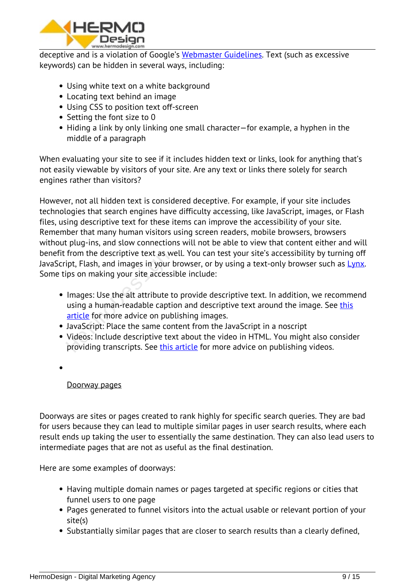

*deceptive and is a violation of Google's [Webmaster Guidelines.](https://support.google.com/webmasters/answer/35769) Text (such as excessive keywords) can be hidden in several ways, including:*

- *Using white text on a white background*
- *Locating text behind an image*
- *Using CSS to position text off-screen*
- *Setting the font size to 0*
- *Hiding a link by only linking one small character—for example, a hyphen in the middle of a paragraph*

*When evaluating your site to see if it includes hidden text or links, look for anything that's not easily viewable by visitors of your site. Are any text or links there solely for search engines rather than visitors?*

*However, not all hidden text is considered deceptive. For example, if your site includes technologies that search engines have difficulty accessing, like JavaScript, images, or Flash files, using descriptive text for these items can improve the accessibility of your site. Remember that many human visitors using screen readers, mobile browsers, browsers without plug-ins, and slow connections will not be able to view that content either and will benefit from the descriptive text as well. You can test your site's accessibility by turning off JavaScript, Flash, and images in your browser, or by using a text-only browser such as [Lynx](https://www.google.com/search?q=lynx+browser). Some tips on making your site accessible include:*

- *Images: Use the alt attribute to provide descriptive text. In addition, we recommend using a human-readable caption and descriptive text around the image. See [this](https://support.google.com/webmasters/answer/114016) article for more advice on publishing images.* from the descriptive text as we<br>ipt, Flash, and images in your b<br>ips on making your site accessi<br>Images: Use the alt attribute to<br>using a human-readable captic<br>article for more advice on pub<br>JavaScript: Place the same con<br>
- *JavaScript: Place the same content from the JavaScript in a noscript*
- *Videos: Include descriptive text about the video in HTML. You might also consider providing transcripts. See [this article](https://support.google.com/webmasters/answer/156442) for more advice on publishing videos.*
- 

# *[Doorway pages](https://support.google.com/webmasters/answer/2721311)*

*Doorways are sites or pages created to rank highly for specific search queries. They are bad for users because they can lead to multiple similar pages in user search results, where each result ends up taking the user to essentially the same destination. They can also lead users to intermediate pages that are not as useful as the final destination.*

*Here are some examples of doorways:*

- *Having multiple domain names or pages targeted at specific regions or cities that funnel users to one page*
- *Pages generated to funnel visitors into the actual usable or relevant portion of your site(s)*
- *Substantially similar pages that are closer to search results than a clearly defined,*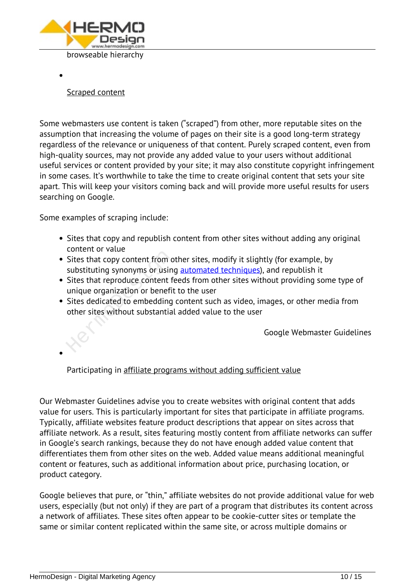

*[Scraped content](https://support.google.com/webmasters/answer/2721312)*

*Some webmasters use content is taken ("scraped") from other, more reputable sites on the assumption that increasing the volume of pages on their site is a good long-term strategy regardless of the relevance or uniqueness of that content. Purely scraped content, even from high-quality sources, may not provide any added value to your users without additional useful services or content provided by your site; it may also constitute copyright infringement in some cases. It's worthwhile to take the time to create original content that sets your site apart. This will keep your visitors coming back and will provide more useful results for users searching on Google.*

*Some examples of scraping include:*

- *Sites that copy and republish content from other sites without adding any original content or value*
- *Sites that copy content from other sites, modify it slightly (for example, by substituting synonyms or using [automated techniques](https://support.google.com/webmasters/answer/2721306)), and republish it*
- *Sites that reproduce content feeds from other sites without providing some type of unique organization or benefit to the user*
- *Sites dedicated to embedding content such as video, images, or other media from other sites without substantial added value to the user* Sites that copy content from o<br>substituting synonyms or using<br>Sites that reproduce content fe<br>unique organization or benefit<br>Sites dedicated to embedding<br>other sites without substantial

*Google Webmaster Guidelines*

*Participating in [affiliate programs without adding sufficient value](https://support.google.com/webmasters/answer/76465)*

*Our Webmaster Guidelines advise you to create websites with original content that adds value for users. This is particularly important for sites that participate in affiliate programs. Typically, affiliate websites feature product descriptions that appear on sites across that affiliate network. As a result, sites featuring mostly content from affiliate networks can suffer in Google's search rankings, because they do not have enough added value content that differentiates them from other sites on the web. Added value means additional meaningful content or features, such as additional information about price, purchasing location, or product category.*

*Google believes that pure, or "thin," affiliate websites do not provide additional value for web users, especially (but not only) if they are part of a program that distributes its content across a network of affiliates. These sites often appear to be cookie-cutter sites or template the same or similar content replicated within the same site, or across multiple domains or*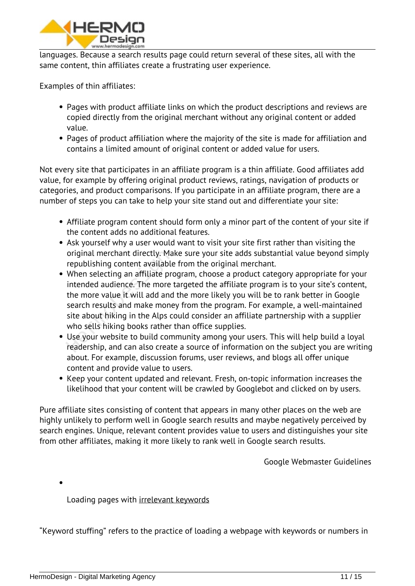

*languages. Because a search results page could return several of these sites, all with the same content, thin affiliates create a frustrating user experience.*

*Examples of thin affiliates:*

- *Pages with product affiliate links on which the product descriptions and reviews are copied directly from the original merchant without any original content or added value.*
- *Pages of product affiliation where the majority of the site is made for affiliation and contains a limited amount of original content or added value for users.*

*Not every site that participates in an affiliate program is a thin affiliate. Good affiliates add value, for example by offering original product reviews, ratings, navigation of products or categories, and product comparisons. If you participate in an affiliate program, there are a number of steps you can take to help your site stand out and differentiate your site:*

- *Affiliate program content should form only a minor part of the content of your site if the content adds no additional features.*
- *Ask yourself why a user would want to visit your site first rather than visiting the original merchant directly. Make sure your site adds substantial value beyond simply republishing content available from the original merchant.*
- *When selecting an affiliate program, choose a product category appropriate for your intended audience. The more targeted the affiliate program is to your site's content, the more value it will add and the more likely you will be to rank better in Google search results and make money from the program. For example, a well-maintained site about hiking in the Alps could consider an affiliate partnership with a supplier who sells hiking books rather than office supplies.* original merchant directly. Mal<br>republishing content available<br>When selecting an affiliate pro<br>intended audience. The more t<br>the more value it will add and<br>search results and make mone<br>site about hiking in the Alps co<br>who
- *Use your website to build community among your users. This will help build a loyal readership, and can also create a source of information on the subject you are writing about. For example, discussion forums, user reviews, and blogs all offer unique content and provide value to users.*
- *Keep your content updated and relevant. Fresh, on-topic information increases the likelihood that your content will be crawled by Googlebot and clicked on by users.*

*Pure affiliate sites consisting of content that appears in many other places on the web are highly unlikely to perform well in Google search results and maybe negatively perceived by search engines. Unique, relevant content provides value to users and distinguishes your site from other affiliates, making it more likely to rank well in Google search results.*

*Google Webmaster Guidelines*

*Loading pages with [irrelevant keywords](https://support.google.com/webmasters/answer/66358)*

*"Keyword stuffing" refers to the practice of loading a webpage with keywords or numbers in*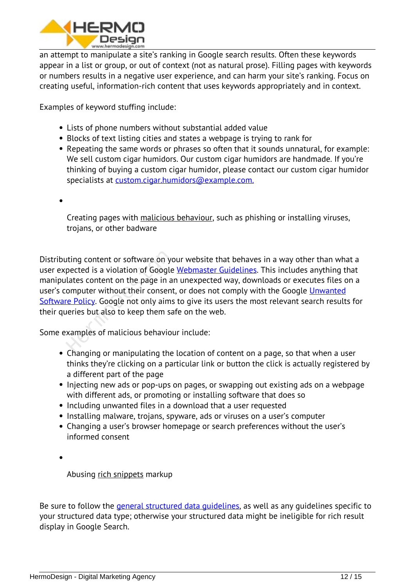

*an attempt to manipulate a site's ranking in Google search results. Often these keywords appear in a list or group, or out of context (not as natural prose). Filling pages with keywords or numbers results in a negative user experience, and can harm your site's ranking. Focus on creating useful, information-rich content that uses keywords appropriately and in context.*

*Examples of keyword stuffing include:*

- *Lists of phone numbers without substantial added value*
- *Blocks of text listing cities and states a webpage is trying to rank for*
- *Repeating the same words or phrases so often that it sounds unnatural, for example: We sell custom cigar humidors. Our custom cigar humidors are handmade. If you're thinking of buying a custom cigar humidor, please contact our custom cigar humidor specialists at [custom.cigar.humidors@example.com](mailto:custom.cigar.humidors@example.com)[.](mailto:custom.cigar.humidors@example.com.)*
- 

*Creating pages with [malicious behaviour](https://support.google.com/webmasters/answer/2721313), such as phishing or installing viruses, trojans, or other badware*

*Distributing content or software on your website that behaves in a way other than what a user expected is a violation of Google [Webmaster Guidelines](https://support.google.com/webmasters/answer/35769). This includes anything that manipulates content on the page in an unexpected way, downloads or executes files on a user's computer without their consent, or does not comply with the Google [Unwanted](https://www.google.com/about/company/unwanted-software-policy.html) [Software Policy](https://www.google.com/about/company/unwanted-software-policy.html). Google not only aims to give its users the most relevant search results for their queries but also to keep them safe on the web.* The probably discussed is a violation of Google<br>Lates content on the page in an<br>omputer without their consent<br>the page in an<br>omputer without their consent<br>the policy. Google not only aims<br>are policy. Google not only aims<br>a

*Some examples of malicious behaviour include:*

- *Changing or manipulating the location of content on a page, so that when a user thinks they're clicking on a particular link or button the click is actually registered by a different part of the page*
- *Injecting new ads or pop-ups on pages, or swapping out existing ads on a webpage with different ads, or promoting or installing software that does so*
- *Including unwanted files in a download that a user requested*
- *Installing malware, trojans, spyware, ads or viruses on a user's computer*
- *Changing a user's browser homepage or search preferences without the user's informed consent*

*Abusing [rich snippets](https://developers.google.com/search/docs/guides/intro-structured-data#structured-data-guidelines) markup*

*Be sure to follow the [general structured data guidelines](https://developers.google.com/search/docs/guides/sd-policies), as well as any guidelines specific to your structured data type; otherwise your structured data might be ineligible for rich result display in Google Search.*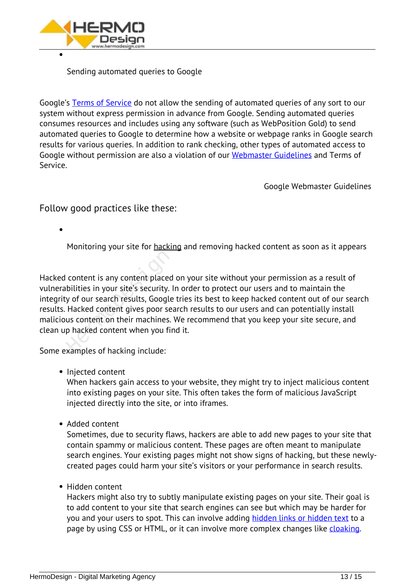

*Sending automated queries to Google*

*Google's [Terms of Service](http://accounts.google.com/TOS) do not allow the sending of automated queries of any sort to our system without express permission in advance from Google. Sending automated queries consumes resources and includes using any software (such as WebPosition Gold) to send automated queries to Google to determine how a website or webpage ranks in Google search results for various queries. In addition to rank checking, other types of automated access to Google without permission are also a violation of our [Webmaster Guidelines](https://support.google.com/webmasters/answer/35769) and Terms of Service.*

*Google Webmaster Guidelines*

*Follow good practices like these:*

*Monitoring your site for [hacking](https://support.google.com/webmasters/answer/2721435) and removing hacked content as soon as it appears*

*Hacked content is any content placed on your site without your permission as a result of vulnerabilities in your site's security. In order to protect our users and to maintain the integrity of our search results, Google tries its best to keep hacked content out of our search results. Hacked content gives poor search results to our users and can potentially install malicious content on their machines. We recommend that you keep your site secure, and clean up hacked content when you find it.* content is any content placed<br>bilities in your site's security. If<br>y of our search results, Google<br>Hacked content gives poor sea<br>us content on their machines.<br>p hacked content when you fin<br>xamples of hacking include:

*Some examples of hacking include:*

*Injected content*

*When hackers gain access to your website, they might try to inject malicious content into existing pages on your site. This often takes the form of malicious JavaScript injected directly into the site, or into iframes.*

*Added content*

*Sometimes, due to security flaws, hackers are able to add new pages to your site that contain spammy or malicious content. These pages are often meant to manipulate search engines. Your existing pages might not show signs of hacking, but these newlycreated pages could harm your site's visitors or your performance in search results.*

*Hidden content*

*Hackers might also try to subtly manipulate existing pages on your site. Their goal is to add content to your site that search engines can see but which may be harder for you and your users to spot. This can involve adding [hidden links or hidden text](https://support.google.com/webmasters/answer/66353) to a page by using CSS or HTML, or it can involve more complex changes like [cloaking](https://support.google.com/webmasters/answer/66355).*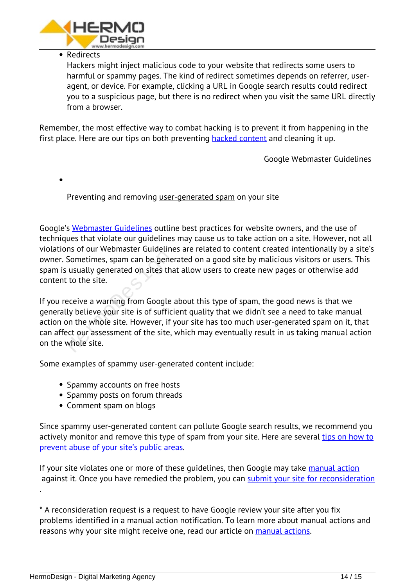

#### *Redirects*

*Hackers might inject malicious code to your website that redirects some users to harmful or spammy pages. The kind of redirect sometimes depends on referrer, useragent, or device. For example, clicking a URL in Google search results could redirect you to a suspicious page, but there is no redirect when you visit the same URL directly from a browser.*

*Remember, the most effective way to combat hacking is to prevent it from happening in the first place. Here are our tips on both preventing [hacked content](https://support.google.com/webmasters/answer/163634) and cleaning it up.*

*Google Webmaster Guidelines*

*Preventing and removing [user-generated spam](https://support.google.com/webmasters/answer/2721437) on your site*

*Google's [Webmaster Guidelines](https://support.google.com/webmasters/answer/35769) outline best practices for website owners, and the use of techniques that violate our guidelines may cause us to take action on a site. However, not all violations of our Webmaster Guidelines are related to content created intentionally by a site's owner. Sometimes, spam can be generated on a good site by malicious visitors or users. This spam is usually generated on sites that allow users to create new pages or otherwise add content to the site.*

*If you receive a warning from Google about this type of spam, the good news is that we generally believe your site is of sufficient quality that we didn't see a need to take manual action on the whole site. However, if your site has too much user-generated spam on it, that can affect our assessment of the site, which may eventually result in us taking manual action on the whole site.* Sometimes, spam can be general<br>Sometimes, spam can be general<br>to the site.<br>eceive a warning from Google and<br>ly believe your site is of sufficing<br>the whole site. However, if your assessment of the site,<br>whole site.

*Some examples of spammy user-generated content include:*

- *Spammy accounts on free hosts*
- *Spammy posts on forum threads*
- *Comment spam on blogs*

*Since spammy user-generated content can pollute Google search results, we recommend you actively monitor and remove this type of spam from your site. Here are several [tips on how to](https://support.google.com/webmasters/answer/81749) [prevent abuse of your site's public areas](https://support.google.com/webmasters/answer/81749).*

*If your site violates one or more of these guidelines, then Google may take [manual action](https://support.google.com/webmasters/answer/35843) against it. Once you have remedied the problem, you can [submit your site for reconsideration](https://support.google.com/webmasters/answer/35843)*

*\* A reconsideration request is a request to have Google review your site after you fix problems identified in a manual action notification. To learn more about manual actions and reasons why your site might receive one, read our article on <i>[manual actions.](https://support.google.com/webmasters/answer/2604824)* 

*.*